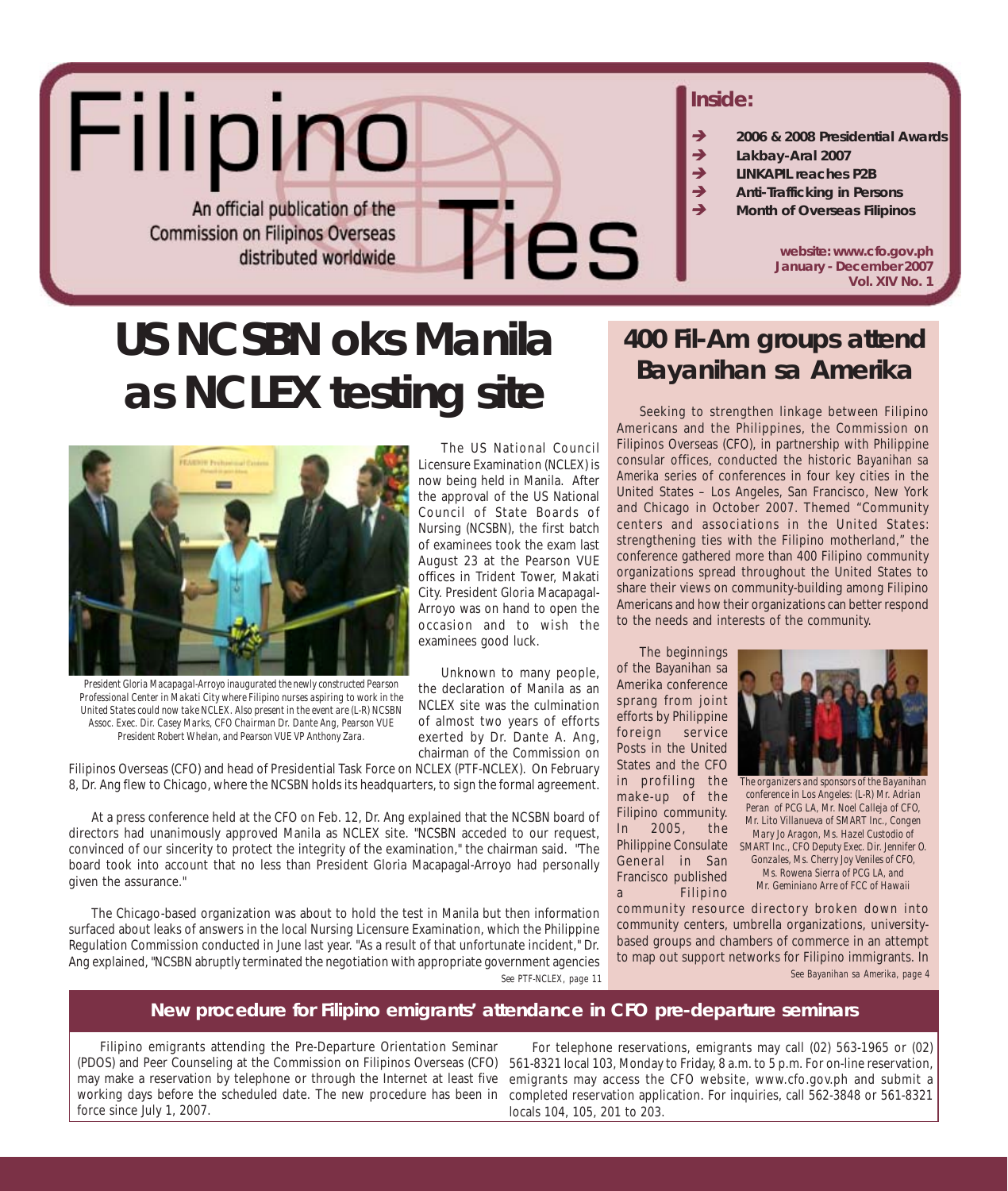

# **US NCSBN oks Manila as NCLEX testing site**



*President Gloria Macapagal-Arroyo inaugurated the newly constructed Pearson Professional Center in Makati City where Filipino nurses aspiring to work in the United States could now take NCLEX. Also present in the event are (L-R) NCSBN Assoc. Exec. Dir. Casey Marks, CFO Chairman Dr. Dante Ang, Pearson VUE President Robert Whelan, and Pearson VUE VP Anthony Zara.*

Filipinos Overseas (CFO) and head of Presidential Task Force on NCLEX (PTF-NCLEX). On February 8, Dr. Ang flew to Chicago, where the NCSBN holds its headquarters, to sign the formal agreement.

At a press conference held at the CFO on Feb. 12, Dr. Ang explained that the NCSBN board of directors had unanimously approved Manila as NCLEX site. "NCSBN acceded to our request, convinced of our sincerity to protect the integrity of the examination," the chairman said. "The board took into account that no less than President Gloria Macapagal-Arroyo had personally given the assurance."

The Chicago-based organization was about to hold the test in Manila but then information surfaced about leaks of answers in the local Nursing Licensure Examination, which the Philippine Regulation Commission conducted in June last year. "As a result of that unfortunate incident," Dr. Ang explained, "NCSBN abruptly terminated the negotiation with appropriate government agencies *See PTF-NCLEX, page 11*

## **400 Fil-Am groups attend** *Bayanihan sa Amerika*

Seeking to strengthen linkage between Filipino Americans and the Philippines, the Commission on Filipinos Overseas (CFO), in partnership with Philippine consular offices, conducted the historic *Bayanihan sa Amerika* series of conferences in four key cities in the United States – Los Angeles, San Francisco, New York and Chicago in October 2007. Themed "Community centers and associations in the United States: strengthening ties with the Filipino motherland," the conference gathered more than 400 Filipino community organizations spread throughout the United States to share their views on community-building among Filipino Americans and how their organizations can better respond to the needs and interests of the community.

The beginnings of the Bayanihan sa Amerika conference sprang from joint efforts by Philippine foreign service Posts in the United States and the CFO in profiling the make-up of the Filipino community. In 2005, the General in San Francisco published a Filipino



Philippine Consulate *SMART Inc., CFO Deputy Exec. Dir. Jennifer O. The organizers and sponsors of the Bayanihan conference in Los Angeles: (L-R) Mr. Adrian Peran of PCG LA, Mr. Noel Calleja of CFO, Mr. Lito Villanueva of SMART Inc., Congen Mary Jo Aragon, Ms. Hazel Custodio of Gonzales, Ms. Cherry Joy Veniles of CFO, Ms. Rowena Sierra of PCG LA, and Mr. Geminiano Arre of FCC of Hawaii*

community resource directory broken down into community centers, umbrella organizations, universitybased groups and chambers of commerce in an attempt to map out support networks for Filipino immigrants. In *See Bayanihan sa Amerika, page 4*

### New procedure for Filipino emigrants' attendance in CFO pre-departure seminars

Filipino emigrants attending the Pre-Departure Orientation Seminar (PDOS) and Peer Counseling at the Commission on Filipinos Overseas (CFO) may make a reservation by telephone or through the Internet at least five working days before the scheduled date. The new procedure has been in force since July 1, 2007.

For telephone reservations, emigrants may call (02) 563-1965 or (02) 561-8321 local 103, Monday to Friday, 8 a.m. to 5 p.m. For on-line reservation, emigrants may access the CFO website, www.cfo.gov.ph and submit a completed reservation application. For inquiries, call 562-3848 or 561-8321 locals 104, 105, 201 to 203.

August 23 at the Pearson VUE offices in Trident Tower, Makati City. President Gloria Macapagal-Arroyo was on hand to open the occasion and to wish the examinees good luck. Unknown to many people, the declaration of Manila as an

The US National Council Licensure Examination (NCLEX) is now being held in Manila. After the approval of the US National Council of State Boards of Nursing (NCSBN), the first batch of examinees took the exam last

NCLEX site was the culmination of almost two years of efforts exerted by Dr. Dante A. Ang, chairman of the Commission on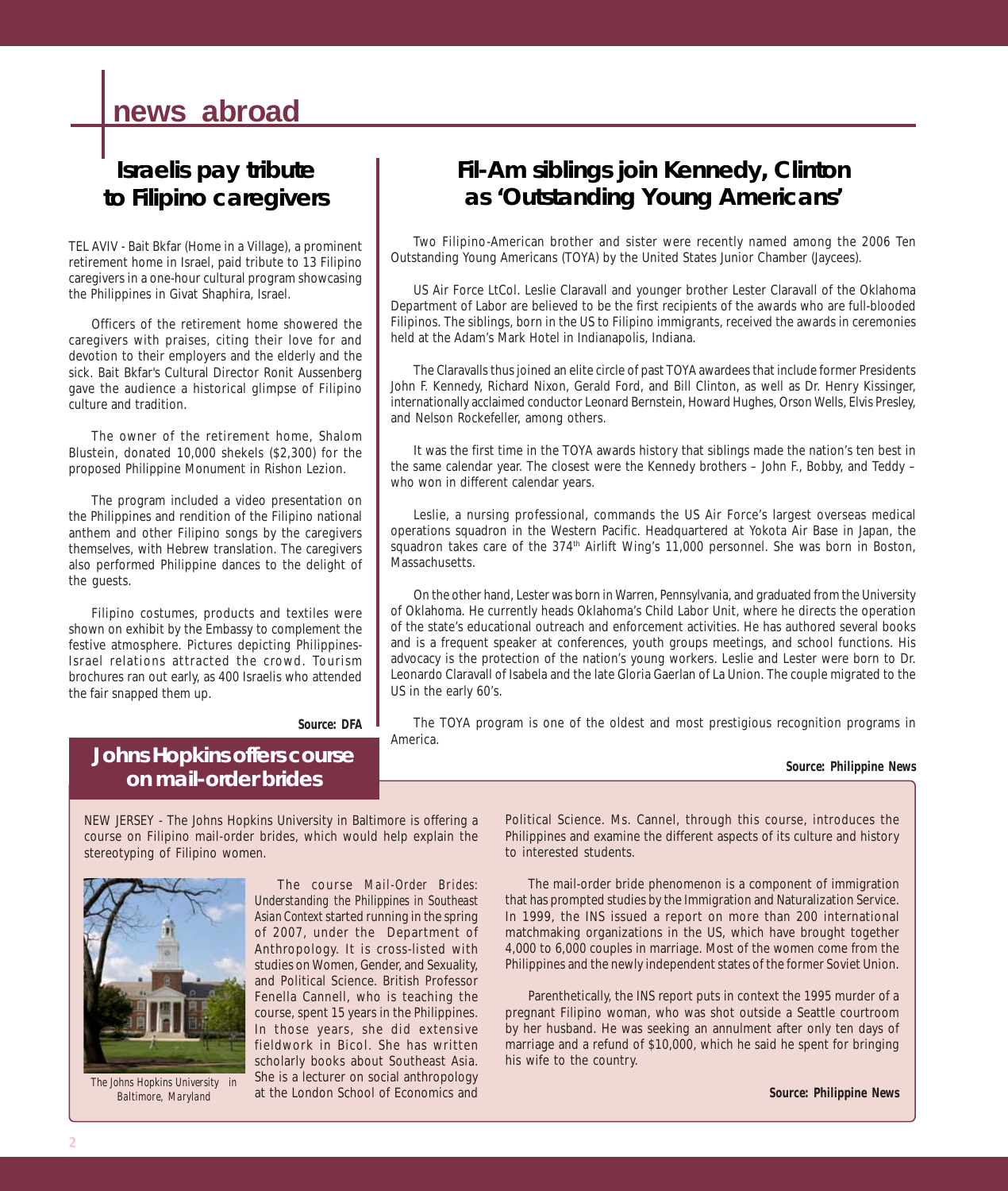## **news abroad**

## **Israelis pay tribute to Filipino caregivers**

TEL AVIV - Bait Bkfar (Home in a Village), a prominent retirement home in Israel, paid tribute to 13 Filipino caregivers in a one-hour cultural program showcasing the Philippines in Givat Shaphira, Israel.

Officers of the retirement home showered the caregivers with praises, citing their love for and devotion to their employers and the elderly and the sick. Bait Bkfar's Cultural Director Ronit Aussenberg gave the audience a historical glimpse of Filipino culture and tradition.

The owner of the retirement home, Shalom Blustein, donated 10,000 shekels (\$2,300) for the proposed Philippine Monument in Rishon Lezion.

The program included a video presentation on the Philippines and rendition of the Filipino national anthem and other Filipino songs by the caregivers themselves, with Hebrew translation. The caregivers also performed Philippine dances to the delight of the guests.

Filipino costumes, products and textiles were shown on exhibit by the Embassy to complement the festive atmosphere. Pictures depicting Philippines-Israel relations attracted the crowd. Tourism brochures ran out early, as 400 Israelis who attended the fair snapped them up.

**Johns Hopkins offers course on mail-order brides**

## **Fil-Am siblings join Kennedy, Clinton as 'Outstanding Young Americans'**

Two Filipino-American brother and sister were recently named among the 2006 Ten Outstanding Young Americans (TOYA) by the United States Junior Chamber (Jaycees).

US Air Force LtCol. Leslie Claravall and younger brother Lester Claravall of the Oklahoma Department of Labor are believed to be the first recipients of the awards who are full-blooded Filipinos. The siblings, born in the US to Filipino immigrants, received the awards in ceremonies held at the Adam's Mark Hotel in Indianapolis, Indiana.

The Claravalls thus joined an elite circle of past TOYA awardees that include former Presidents John F. Kennedy, Richard Nixon, Gerald Ford, and Bill Clinton, as well as Dr. Henry Kissinger, internationally acclaimed conductor Leonard Bernstein, Howard Hughes, Orson Wells, Elvis Presley, and Nelson Rockefeller, among others.

It was the first time in the TOYA awards history that siblings made the nation's ten best in the same calendar year. The closest were the Kennedy brothers – John F., Bobby, and Teddy – who won in different calendar years.

Leslie, a nursing professional, commands the US Air Force's largest overseas medical operations squadron in the Western Pacific. Headquartered at Yokota Air Base in Japan, the squadron takes care of the 374<sup>th</sup> Airlift Wing's 11,000 personnel. She was born in Boston, Massachusetts.

On the other hand, Lester was born in Warren, Pennsylvania, and graduated from the University of Oklahoma. He currently heads Oklahoma's Child Labor Unit, where he directs the operation of the state's educational outreach and enforcement activities. He has authored several books and is a frequent speaker at conferences, youth groups meetings, and school functions. His advocacy is the protection of the nation's young workers. Leslie and Lester were born to Dr. Leonardo Claravall of Isabela and the late Gloria Gaerlan of La Union. The couple migrated to the US in the early 60's.

The TOYA program is one of the oldest and most prestigious recognition programs in America.

#### *Source: Philippine News*

NEW JERSEY - The Johns Hopkins University in Baltimore is offering a course on Filipino mail-order brides, which would help explain the stereotyping of Filipino women.

*Source: DFA*



*The Johns Hopkins University in Baltimore, Maryland*

The course *Mail-Order Brides: Understanding the Philippines in Southeast Asian Context* started running in the spring of 2007, under the Department of Anthropology. It is cross-listed with studies on Women, Gender, and Sexuality, and Political Science. British Professor Fenella Cannell, who is teaching the course, spent 15 years in the Philippines. In those years, she did extensive fieldwork in Bicol. She has written scholarly books about Southeast Asia. She is a lecturer on social anthropology at the London School of Economics and

Political Science. Ms. Cannel, through this course, introduces the Philippines and examine the different aspects of its culture and history to interested students.

The mail-order bride phenomenon is a component of immigration that has prompted studies by the Immigration and Naturalization Service. In 1999, the INS issued a report on more than 200 international matchmaking organizations in the US, which have brought together 4,000 to 6,000 couples in marriage. Most of the women come from the Philippines and the newly independent states of the former Soviet Union.

Parenthetically, the INS report puts in context the 1995 murder of a pregnant Filipino woman, who was shot outside a Seattle courtroom by her husband. He was seeking an annulment after only ten days of marriage and a refund of \$10,000, which he said he spent for bringing his wife to the country.

*Source: Philippine News*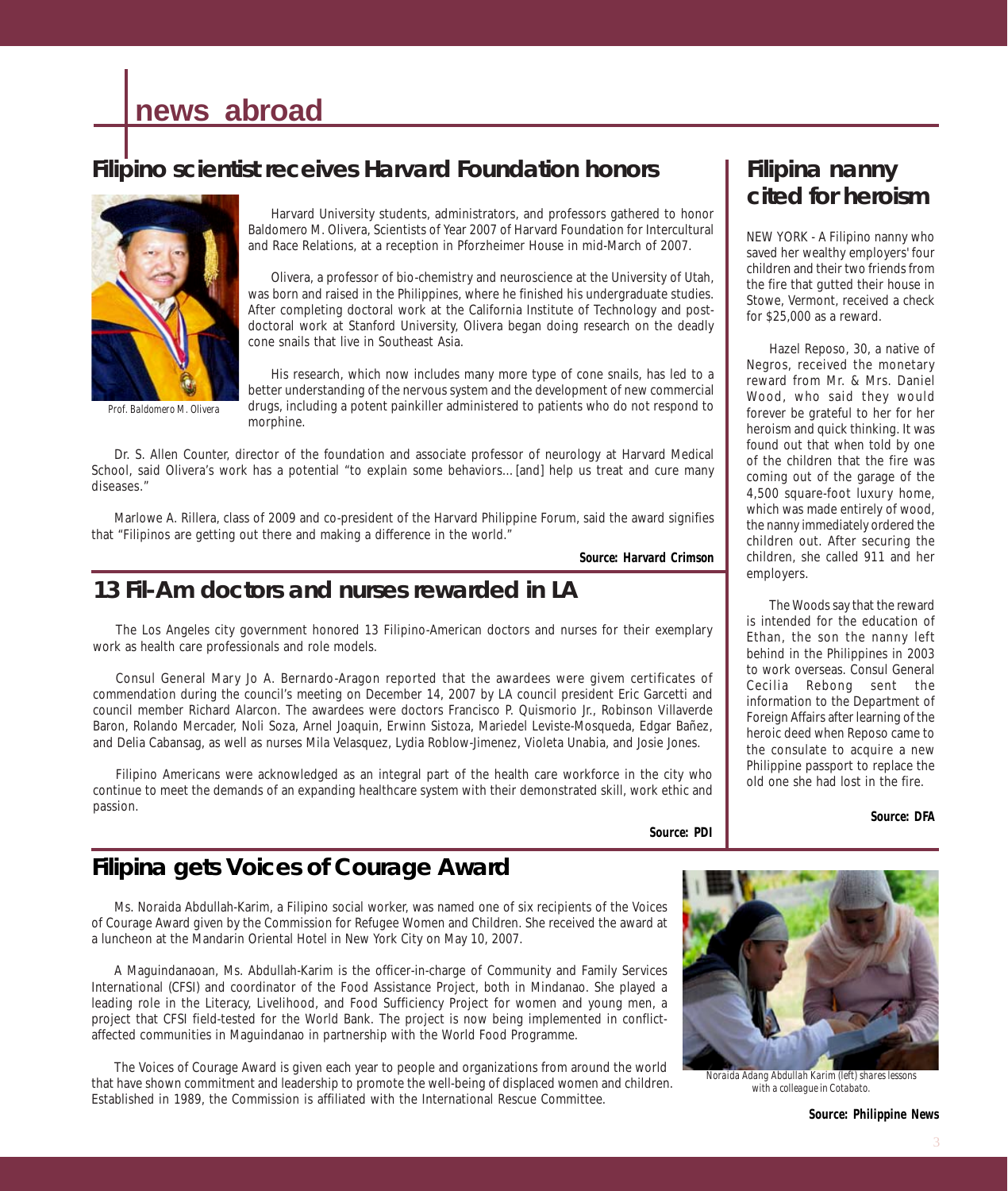## **news abroad**

## **Filipino scientist receives Harvard Foundation honors**



*Prof. Baldomero M. Olivera*

Harvard University students, administrators, and professors gathered to honor Baldomero M. Olivera, Scientists of Year 2007 of Harvard Foundation for Intercultural and Race Relations, at a reception in Pforzheimer House in mid-March of 2007.

Olivera, a professor of bio-chemistry and neuroscience at the University of Utah, was born and raised in the Philippines, where he finished his undergraduate studies. After completing doctoral work at the California Institute of Technology and postdoctoral work at Stanford University, Olivera began doing research on the deadly cone snails that live in Southeast Asia.

His research, which now includes many more type of cone snails, has led to a better understanding of the nervous system and the development of new commercial drugs, including a potent painkiller administered to patients who do not respond to morphine.

Dr. S. Allen Counter, director of the foundation and associate professor of neurology at Harvard Medical School, said Olivera's work has a potential "to explain some behaviors...[and] help us treat and cure many diseases."

Marlowe A. Rillera, class of 2009 and co-president of the Harvard Philippine Forum, said the award signifies that "Filipinos are getting out there and making a difference in the world."

*Source: Harvard Crimson*

### **13 Fil-Am doctors and nurses rewarded in LA**

The Los Angeles city government honored 13 Filipino-American doctors and nurses for their exemplary work as health care professionals and role models.

Consul General Mary Jo A. Bernardo-Aragon reported that the awardees were givem certificates of commendation during the council's meeting on December 14, 2007 by LA council president Eric Garcetti and council member Richard Alarcon. The awardees were doctors Francisco P. Quismorio Jr., Robinson Villaverde Baron, Rolando Mercader, Noli Soza, Arnel Joaquin, Erwinn Sistoza, Mariedel Leviste-Mosqueda, Edgar Bañez, and Delia Cabansag, as well as nurses Mila Velasquez, Lydia Roblow-Jimenez, Violeta Unabia, and Josie Jones.

Filipino Americans were acknowledged as an integral part of the health care workforce in the city who continue to meet the demands of an expanding healthcare system with their demonstrated skill, work ethic and passion.

*Source: PDI*

## **Filipina gets Voices of Courage Award**

Ms. Noraida Abdullah-Karim, a Filipino social worker, was named one of six recipients of the Voices of Courage Award given by the Commission for Refugee Women and Children. She received the award at a luncheon at the Mandarin Oriental Hotel in New York City on May 10, 2007.

A Maguindanaoan, Ms. Abdullah-Karim is the officer-in-charge of Community and Family Services International (CFSI) and coordinator of the Food Assistance Project, both in Mindanao. She played a leading role in the Literacy, Livelihood, and Food Sufficiency Project for women and young men, a project that CFSI field-tested for the World Bank. The project is now being implemented in conflictaffected communities in Maguindanao in partnership with the World Food Programme.

The Voices of Courage Award is given each year to people and organizations from around the world that have shown commitment and leadership to promote the well-being of displaced women and children. Established in 1989, the Commission is affiliated with the International Rescue Committee.

## **Filipina nanny cited for heroism**

NEW YORK - A Filipino nanny who saved her wealthy employers' four children and their two friends from the fire that gutted their house in Stowe, Vermont, received a check for \$25,000 as a reward.

Hazel Reposo, 30, a native of Negros, received the monetary reward from Mr. & Mrs. Daniel Wood, who said they would forever be grateful to her for her heroism and quick thinking. It was found out that when told by one of the children that the fire was coming out of the garage of the 4,500 square-foot luxury home, which was made entirely of wood, the nanny immediately ordered the children out. After securing the children, she called 911 and her employers.

The Woods say that the reward is intended for the education of Ethan, the son the nanny left behind in the Philippines in 2003 to work overseas. Consul General Cecilia Rebong sent the information to the Department of Foreign Affairs after learning of the heroic deed when Reposo came to the consulate to acquire a new Philippine passport to replace the old one she had lost in the fire.

*Source: DFA*



*Noraida Adang Abdullah Karim (left) shares lessons with a colleague in Cotabato.*

*Source: Philippine News*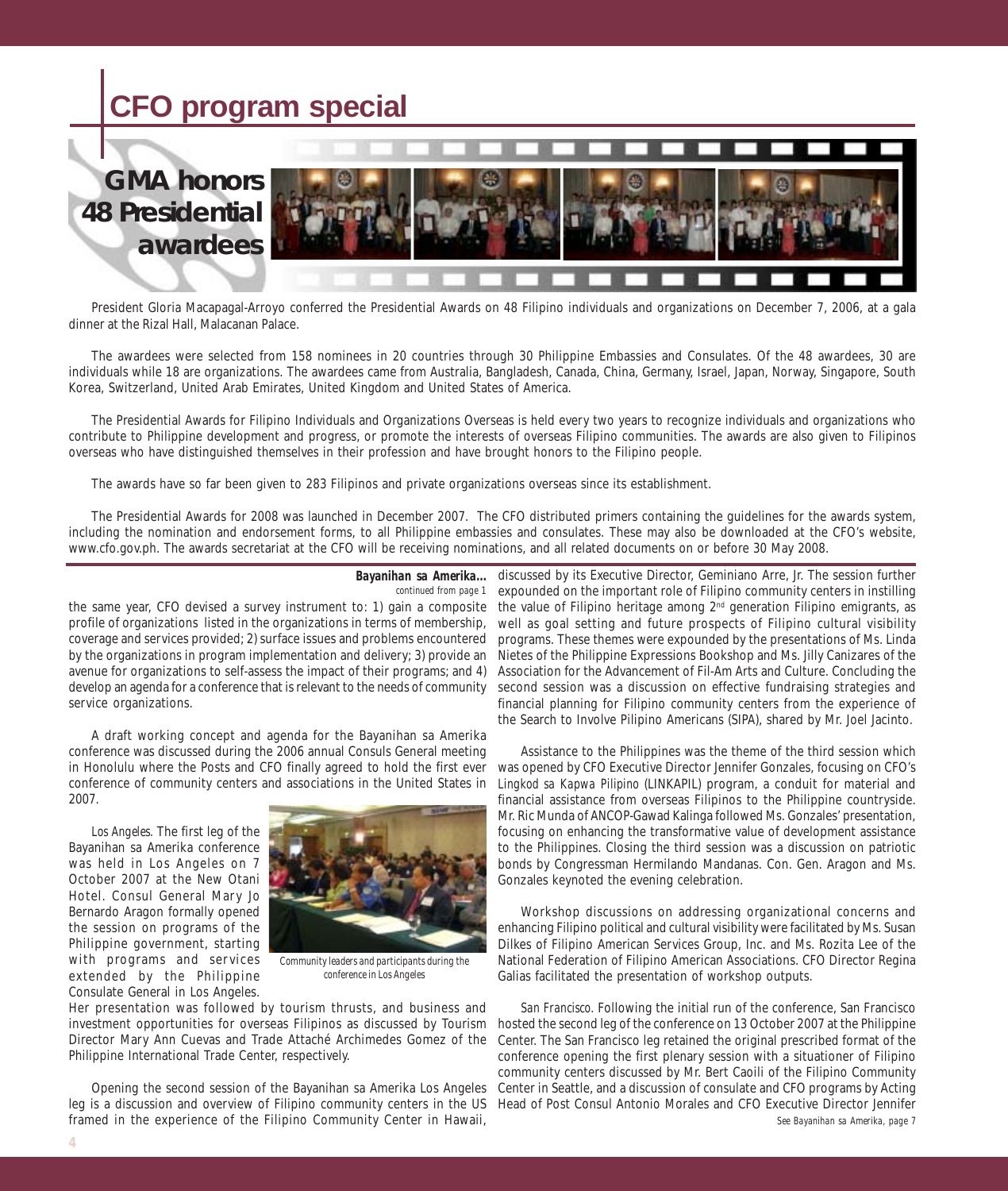## **CFO program special**

## **GMA honors 48 Presidential awardees**



President Gloria Macapagal-Arroyo conferred the Presidential Awards on 48 Filipino individuals and organizations on December 7, 2006, at a gala dinner at the Rizal Hall, Malacanan Palace.

The awardees were selected from 158 nominees in 20 countries through 30 Philippine Embassies and Consulates. Of the 48 awardees, 30 are individuals while 18 are organizations. The awardees came from Australia, Bangladesh, Canada, China, Germany, Israel, Japan, Norway, Singapore, South Korea, Switzerland, United Arab Emirates, United Kingdom and United States of America.

The Presidential Awards for Filipino Individuals and Organizations Overseas is held every two years to recognize individuals and organizations who contribute to Philippine development and progress, or promote the interests of overseas Filipino communities. The awards are also given to Filipinos overseas who have distinguished themselves in their profession and have brought honors to the Filipino people.

The awards have so far been given to 283 Filipinos and private organizations overseas since its establishment.

The Presidential Awards for 2008 was launched in December 2007. The CFO distributed primers containing the guidelines for the awards system, including the nomination and endorsement forms, to all Philippine embassies and consulates. These may also be downloaded at the CFO's website, www.cfo.gov.ph. The awards secretariat at the CFO will be receiving nominations, and all related documents on or before 30 May 2008.

#### *Bayanihan sa Amerika... continued from page 1*

profile of organizations listed in the organizations in terms of membership, coverage and services provided; 2) surface issues and problems encountered by the organizations in program implementation and delivery; 3) provide an avenue for organizations to self-assess the impact of their programs; and 4) develop an agenda for a conference that is relevant to the needs of community service organizations.

A draft working concept and agenda for the Bayanihan sa Amerika conference was discussed during the 2006 annual Consuls General meeting in Honolulu where the Posts and CFO finally agreed to hold the first ever conference of community centers and associations in the United States in 2007.

*Los Angeles.* The first leg of the Bayanihan sa Amerika conference was held in Los Angeles on 7 October 2007 at the New Otani Hotel. Consul General Mary Jo Bernardo Aragon formally opened the session on programs of the Philippine government, starting with programs and services extended by the Philippine Consulate General in Los Angeles.



*Community leaders and participants during the conference in Los Angeles*

Her presentation was followed by tourism thrusts, and business and investment opportunities for overseas Filipinos as discussed by Tourism Director Mary Ann Cuevas and Trade Attaché Archimedes Gomez of the Philippine International Trade Center, respectively.

Opening the second session of the Bayanihan sa Amerika Los Angeles leg is a discussion and overview of Filipino community centers in the US framed in the experience of the Filipino Community Center in Hawaii,

the same year, CFO devised a survey instrument to: 1) gain a composite the value of Filipino heritage among 2<sup>nd</sup> generation Filipino emigrants, as discussed by its Executive Director, Geminiano Arre, Jr. The session further expounded on the important role of Filipino community centers in instilling well as goal setting and future prospects of Filipino cultural visibility programs. These themes were expounded by the presentations of Ms. Linda Nietes of the Philippine Expressions Bookshop and Ms. Jilly Canizares of the Association for the Advancement of Fil-Am Arts and Culture. Concluding the second session was a discussion on effective fundraising strategies and financial planning for Filipino community centers from the experience of the Search to Involve Pilipino Americans (SIPA), shared by Mr. Joel Jacinto.

> Assistance to the Philippines was the theme of the third session which was opened by CFO Executive Director Jennifer Gonzales, focusing on CFO's *Lingkod sa Kapwa Pilipino* (LINKAPIL) program, a conduit for material and financial assistance from overseas Filipinos to the Philippine countryside. Mr. Ric Munda of ANCOP-Gawad Kalinga followed Ms. Gonzales' presentation, focusing on enhancing the transformative value of development assistance to the Philippines. Closing the third session was a discussion on patriotic bonds by Congressman Hermilando Mandanas. Con. Gen. Aragon and Ms. Gonzales keynoted the evening celebration.

> Workshop discussions on addressing organizational concerns and enhancing Filipino political and cultural visibility were facilitated by Ms. Susan Dilkes of Filipino American Services Group, Inc. and Ms. Rozita Lee of the National Federation of Filipino American Associations. CFO Director Regina Galias facilitated the presentation of workshop outputs.

> *San Francisco.* Following the initial run of the conference, San Francisco hosted the second leg of the conference on 13 October 2007 at the Philippine Center. The San Francisco leg retained the original prescribed format of the conference opening the first plenary session with a situationer of Filipino community centers discussed by Mr. Bert Caoili of the Filipino Community Center in Seattle, and a discussion of consulate and CFO programs by Acting Head of Post Consul Antonio Morales and CFO Executive Director Jennifer *See Bayanihan sa Amerika, page 7*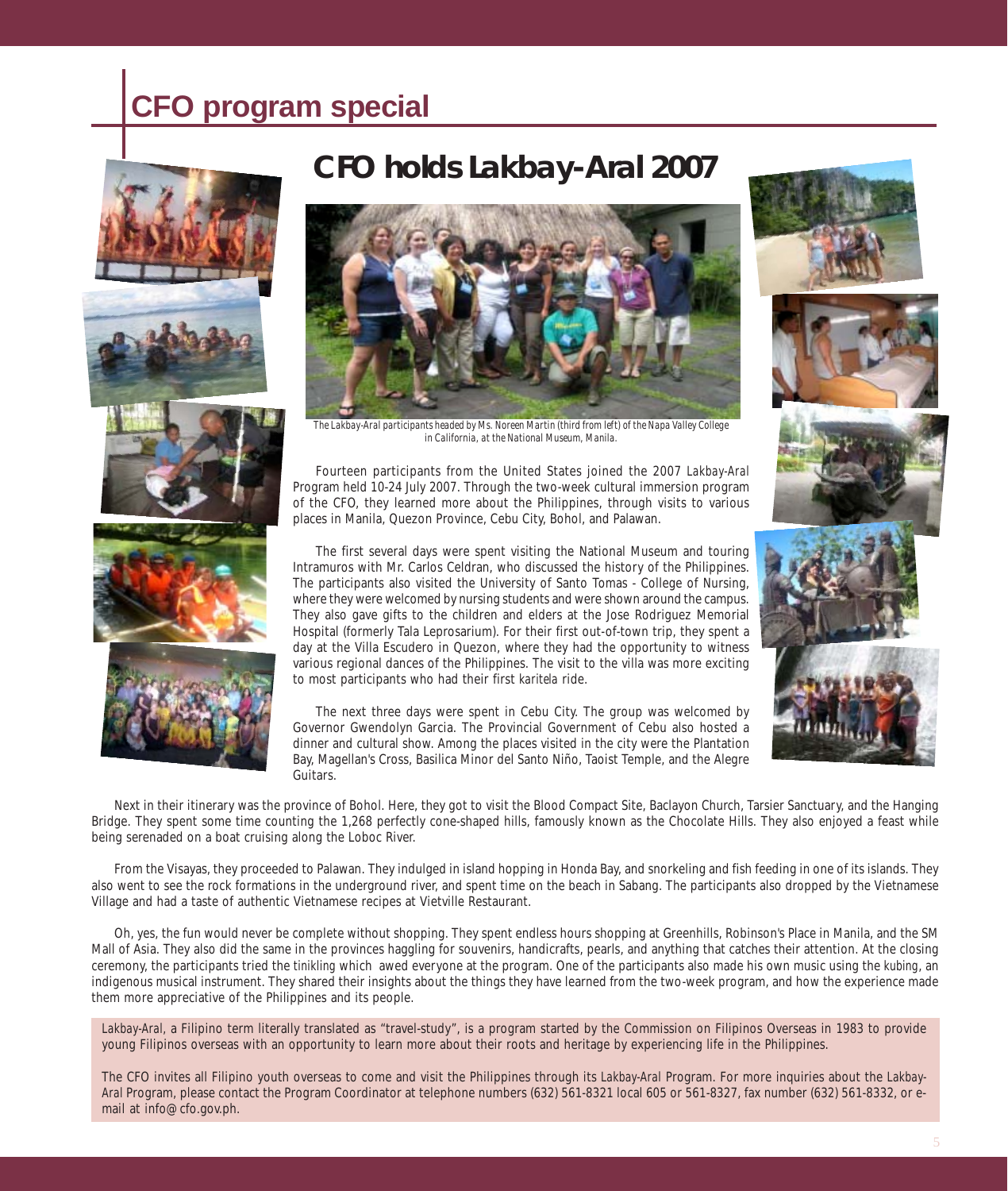## **CFO program special**



## **CFO holds** *Lakbay-Aral* **2007**



*The Lakbay-Aral participants headed by Ms. Noreen Martin (third from left) of the Napa Valley College in California, at the National Museum, Manila.*

Fourteen participants from the United States joined the 2007 *Lakbay-Aral* Program held 10-24 July 2007. Through the two-week cultural immersion program of the CFO, they learned more about the Philippines, through visits to various places in Manila, Quezon Province, Cebu City, Bohol, and Palawan.

The first several days were spent visiting the National Museum and touring Intramuros with Mr. Carlos Celdran, who discussed the history of the Philippines. The participants also visited the University of Santo Tomas - College of Nursing, where they were welcomed by nursing students and were shown around the campus. They also gave gifts to the children and elders at the Jose Rodriguez Memorial Hospital (formerly Tala Leprosarium). For their first out-of-town trip, they spent a day at the Villa Escudero in Quezon, where they had the opportunity to witness various regional dances of the Philippines. The visit to the villa was more exciting to most participants who had their first *karitela* ride.

The next three days were spent in Cebu City. The group was welcomed by Governor Gwendolyn Garcia. The Provincial Government of Cebu also hosted a dinner and cultural show. Among the places visited in the city were the Plantation Bay, Magellan's Cross, Basilica Minor del Santo Niño, Taoist Temple, and the Alegre Guitars.

Next in their itinerary was the province of Bohol. Here, they got to visit the Blood Compact Site, Baclayon Church, Tarsier Sanctuary, and the Hanging Bridge. They spent some time counting the 1,268 perfectly cone-shaped hills, famously known as the Chocolate Hills. They also enjoyed a feast while being serenaded on a boat cruising along the Loboc River.

From the Visayas, they proceeded to Palawan. They indulged in island hopping in Honda Bay, and snorkeling and fish feeding in one of its islands. They also went to see the rock formations in the underground river, and spent time on the beach in Sabang. The participants also dropped by the Vietnamese Village and had a taste of authentic Vietnamese recipes at Vietville Restaurant.

Oh, yes, the fun would never be complete without shopping. They spent endless hours shopping at Greenhills, Robinson's Place in Manila, and the SM Mall of Asia. They also did the same in the provinces haggling for souvenirs, handicrafts, pearls, and anything that catches their attention. At the closing ceremony, the participants tried the *tinikling* which awed everyone at the program. One of the participants also made his own music using the *kubing*, an indigenous musical instrument. They shared their insights about the things they have learned from the two-week program, and how the experience made them more appreciative of the Philippines and its people.

Lakbay-Aral, a Filipino term literally translated as "travel-study", is a program started by the Commission on Filipinos Overseas in 1983 to provide young Filipinos overseas with an opportunity to learn more about their roots and heritage by experiencing life in the Philippines.

The CFO invites all Filipino youth overseas to come and visit the Philippines through its *Lakbay-Aral* Program. For more inquiries about the *Lakbay-Aral* Program, please contact the Program Coordinator at telephone numbers (632) 561-8321 local 605 or 561-8327, fax number (632) 561-8332, or email at info@cfo.gov.ph.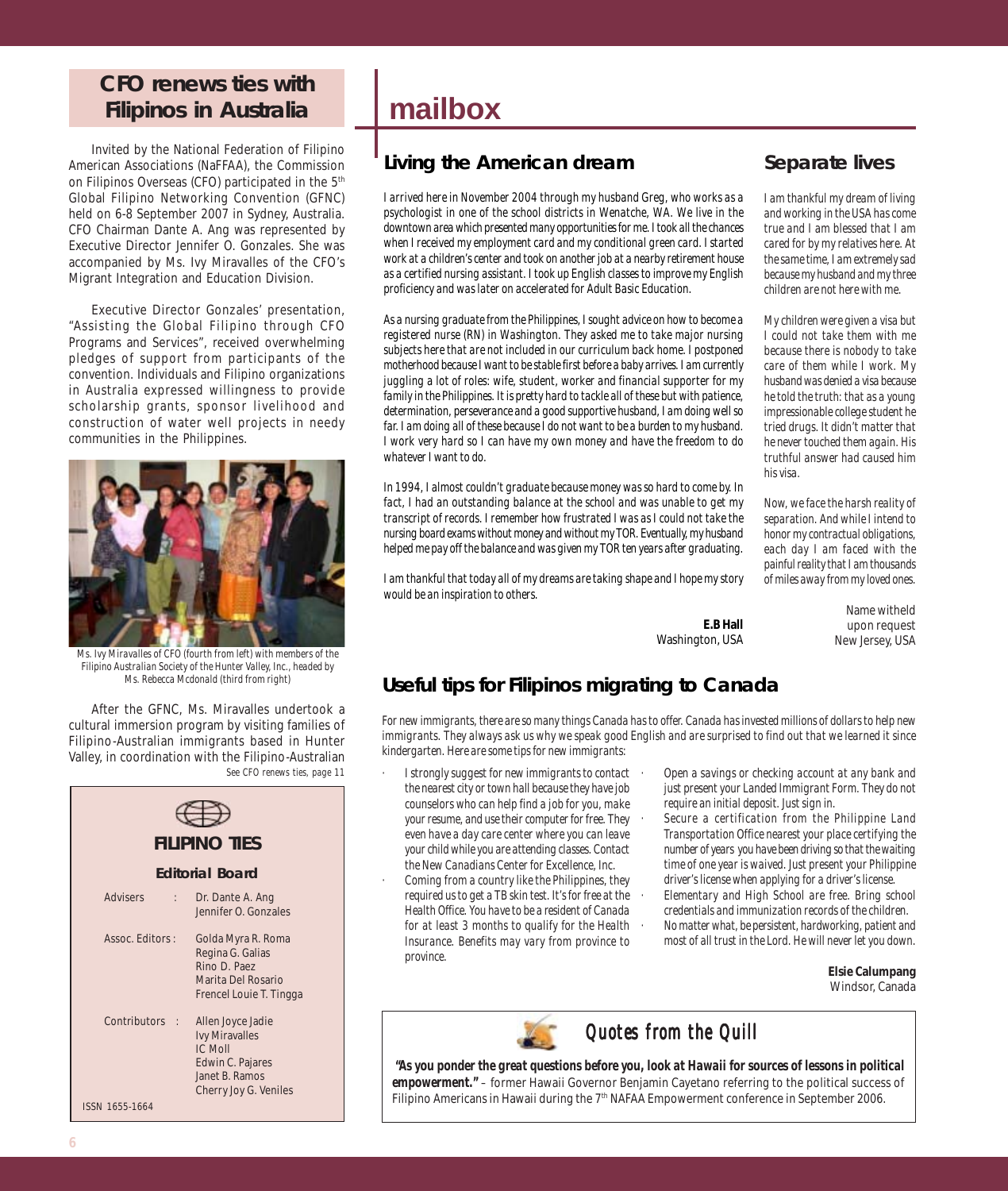### **CFO renews ties with Filipinos in Australia**

Invited by the National Federation of Filipino American Associations (NaFFAA), the Commission on Filipinos Overseas (CFO) participated in the 5<sup>th</sup> Global Filipino Networking Convention (GFNC) held on 6-8 September 2007 in Sydney, Australia. CFO Chairman Dante A. Ang was represented by Executive Director Jennifer O. Gonzales. She was accompanied by Ms. Ivy Miravalles of the CFO's Migrant Integration and Education Division.

Executive Director Gonzales' presentation, "Assisting the Global Filipino through CFO Programs and Services", received overwhelming pledges of support from participants of the convention. Individuals and Filipino organizations in Australia expressed willingness to provide scholarship grants, sponsor livelihood and construction of water well projects in needy communities in the Philippines.



*Ms. Ivy Miravalles of CFO (fourth from left) with members of the Filipino Australian Society of the Hunter Valley, Inc., headed by Ms. Rebecca Mcdonald (third from right)*

After the GFNC, Ms. Miravalles undertook a cultural immersion program by visiting families of Filipino-Australian immigrants based in Hunter Valley, in coordination with the Filipino-Australian *See CFO renews ties, page 11*



## **mailbox**

### **Living the American dream**

*I arrived here in November 2004 through my husband Greg, who works as a psychologist in one of the school districts in Wenatche, WA. We live in the downtown area which presented many opportunities for me. I took all the chances when I received my employment card and my conditional green card. I started work at a children's center and took on another job at a nearby retirement house as a certified nursing assistant. I took up English classes to improve my English proficiency and was later on accelerated for Adult Basic Education.*

*As a nursing graduate from the Philippines, I sought advice on how to become a registered nurse (RN) in Washington. They asked me to take major nursing subjects here that are not included in our curriculum back home. I postponed motherhood because I want to be stable first before a baby arrives. I am currently juggling a lot of roles: wife, student, worker and financial supporter for my family in the Philippines. It is pretty hard to tackle all of these but with patience, determination, perseverance and a good supportive husband, I am doing well so far. I am doing all of these because I do not want to be a burden to my husband. I work very hard so I can have my own money and have the freedom to do whatever I want to do.*

*In 1994, I almost couldn't graduate because money was so hard to come by. In fact, I had an outstanding balance at the school and was unable to get my transcript of records. I remember how frustrated I was as I could not take the nursing board exams without money and without my TOR. Eventually, my husband helped me pay off the balance and was given my TOR ten years after graduating.*

*I am thankful that today all of my dreams are taking shape and I hope my story would be an inspiration to others.*

### **Separate lives**

*I am thankful my dream of living and working in the USA has come true and I am blessed that I am cared for by my relatives here. At the same time, I am extremely sad because my husband and my three children are not here with me.*

*My children were given a visa but I could not take them with me because there is nobody to take care of them while I work. My husband was denied a visa because he told the truth: that as a young impressionable college student he tried drugs. It didn't matter that he never touched them again. His truthful answer had caused him his visa.*

*Now, we face the harsh reality of separation. And while I intend to honor my contractual obligations, each day I am faced with the painful reality that I am thousands of miles away from my loved ones.*

> Name witheld upon request New Jersey, USA

#### **E.B Hall** Washington, USA

### **Useful tips for Filipinos migrating to Canada**

*For new immigrants, there are so many things Canada has to offer. Canada has invested millions of dollars to help new immigrants. They always ask us why we speak good English and are surprised to find out that we learned it since kindergarten. Here are some tips for new immigrants:*

- *· I strongly suggest for new immigrants to contact the nearest city or town hall because they have job counselors who can help find a job for you, make your resume, and use their computer for free. They even have a day care center where you can leave your child while you are attending classes. Contact the New Canadians Center for Excellence, Inc.*
- *· Coming from a country like the Philippines, they required us to get a TB skin test. It's for free at the Health Office. You have to be a resident of Canada for at least 3 months to qualify for the Health Insurance. Benefits may vary from province to province.*
- *· Open a savings or checking account at any bank and just present your Landed Immigrant Form. They do not require an initial deposit. Just sign in.*
- *· Secure a certification from the Philippine Land Transportation Office nearest your place certifying the number of years you have been driving so that the waiting time of one year is waived. Just present your Philippine driver's license when applying for a driver's license. · Elementary and High School are free. Bring school credentials and immunization records of the children.*
- *· No matter what, be persistent, hardworking, patient and most of all trust in the Lord. He will never let you down.*

**Elsie Calumpang** Windsor, Canada

*Quotes from the Quill Quotes the Quill*

 *"As you ponder the great questions before you, look at Hawaii for sources of lessons in political empowerment." –* former Hawaii Governor Benjamin Cayetano referring to the political success of Filipino Americans in Hawaii during the 7<sup>th</sup> NAFAA Empowerment conference in September 2006.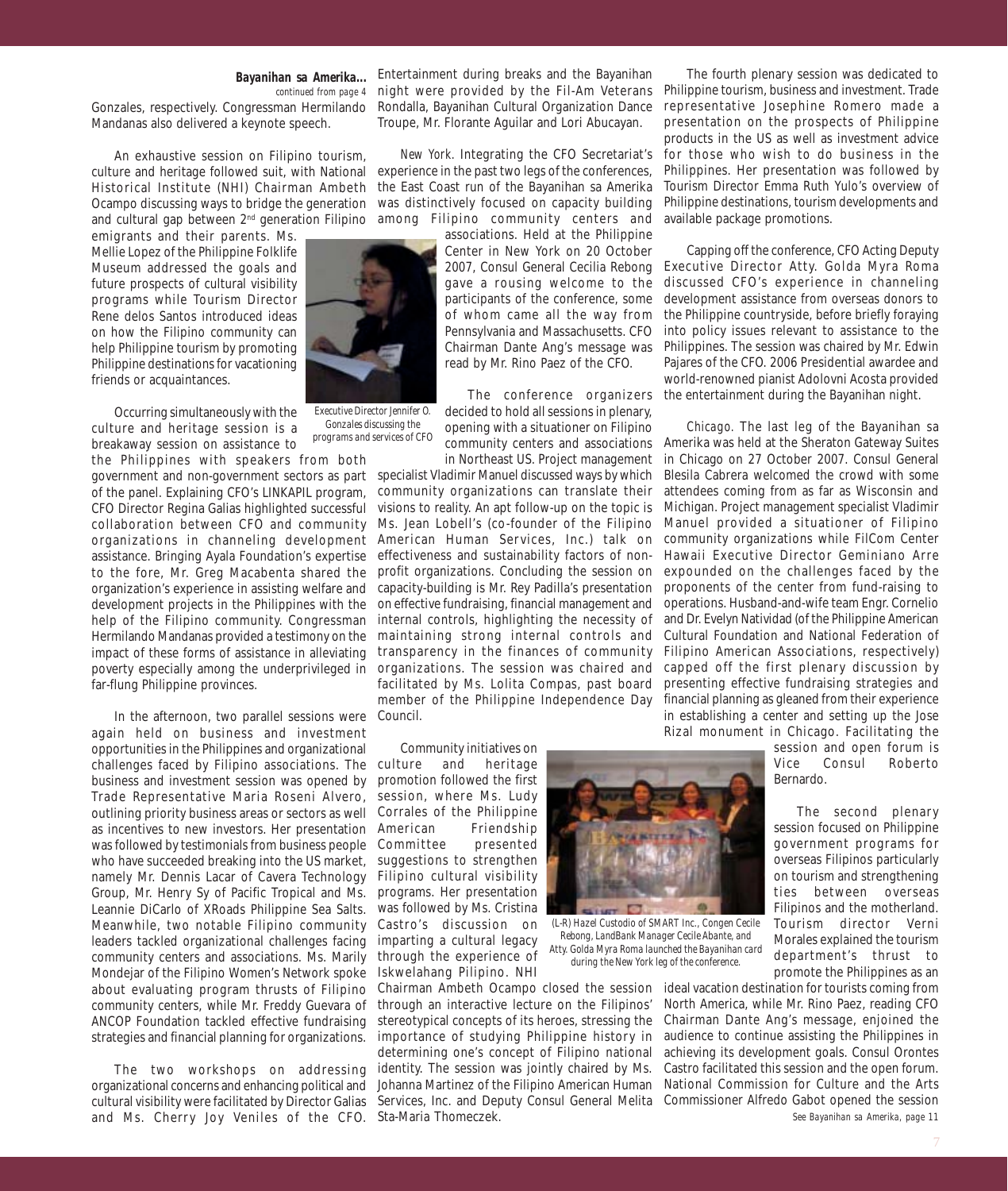#### *Bayanihan sa Amerika... continued from page 4*

Gonzales, respectively. Congressman Hermilando Mandanas also delivered a keynote speech.

An exhaustive session on Filipino tourism, culture and heritage followed suit, with National experience in the past two legs of the conferences, Historical Institute (NHI) Chairman Ambeth Ocampo discussing ways to bridge the generation and cultural gap between 2<sup>nd</sup> generation Filipino among Filipino community centers and

emigrants and their parents. Ms. Mellie Lopez of the Philippine Folklife Museum addressed the goals and future prospects of cultural visibility programs while Tourism Director Rene delos Santos introduced ideas on how the Filipino community can help Philippine tourism by promoting Philippine destinations for vacationing friends or acquaintances.

Occurring simultaneously with the culture and heritage session is a breakaway session on assistance to

the Philippines with speakers from both of the panel. Explaining CFO's LINKAPIL program, CFO Director Regina Galias highlighted successful collaboration between CFO and community organizations in channeling development assistance. Bringing Ayala Foundation's expertise to the fore, Mr. Greg Macabenta shared the organization's experience in assisting welfare and development projects in the Philippines with the help of the Filipino community. Congressman Hermilando Mandanas provided a testimony on the impact of these forms of assistance in alleviating far-flung Philippine provinces.

In the afternoon, two parallel sessions were again held on business and investment opportunities in the Philippines and organizational challenges faced by Filipino associations. The business and investment session was opened by Trade Representative Maria Roseni Alvero, outlining priority business areas or sectors as well Corrales of the Philippine as incentives to new investors. Her presentation was followed by testimonials from business people who have succeeded breaking into the US market, namely Mr. Dennis Lacar of Cavera Technology Group, Mr. Henry Sy of Pacific Tropical and Ms. Leannie DiCarlo of XRoads Philippine Sea Salts. Meanwhile, two notable Filipino community leaders tackled organizational challenges facing community centers and associations. Ms. Marily Mondejar of the Filipino Women's Network spoke about evaluating program thrusts of Filipino community centers, while Mr. Freddy Guevara of ANCOP Foundation tackled effective fundraising strategies and financial planning for organizations.

The two workshops on addressing organizational concerns and enhancing political and cultural visibility were facilitated by Director Galias and Ms. Cherry Joy Veniles of the CFO. Sta-Maria Thomeczek.

Entertainment during breaks and the Bayanihan night were provided by the Fil-Am Veterans Philippine tourism, business and investment. Trade Rondalla, Bayanihan Cultural Organization Dance representative Josephine Romero made a Troupe, Mr. Florante Aguilar and Lori Abucayan.

*New York.* Integrating the CFO Secretariat's the East Coast run of the Bayanihan sa Amerika was distinctively focused on capacity building

> associations. Held at the Philippine Center in New York on 20 October gave a rousing welcome to the participants of the conference, some of whom came all the way from Pennsylvania and Massachusetts. CFO Chairman Dante Ang's message was read by Mr. Rino Paez of the CFO.

> The conference organizers decided to hold all sessions in plenary, opening with a situationer on Filipino community centers and associations in Northeast US. Project management

government and non-government sectors as part specialist Vladimir Manuel discussed ways by which poverty especially among the underprivileged in organizations. The session was chaired and community organizations can translate their visions to reality. An apt follow-up on the topic is Ms. Jean Lobell's (co-founder of the Filipino American Human Services, Inc.) talk on effectiveness and sustainability factors of nonprofit organizations. Concluding the session on capacity-building is Mr. Rey Padilla's presentation on effective fundraising, financial management and internal controls, highlighting the necessity of maintaining strong internal controls and transparency in the finances of community facilitated by Ms. Lolita Compas, past board member of the Philippine Independence Day Council.

> Community initiatives on and heritage promotion followed the first session, where Ms. Ludy Friendship Committee presented suggestions to strengthen Filipino cultural visibility programs. Her presentation was followed by Ms. Cristina Castro's discussion on imparting a cultural legacy through the experience of Iskwelahang Pilipino. NHI

Chairman Ambeth Ocampo closed the session ideal vacation destination for tourists coming from through an interactive lecture on the Filipinos' stereotypical concepts of its heroes, stressing the Chairman Dante Ang's message, enjoined the importance of studying Philippine history in audience to continue assisting the Philippines in determining one's concept of Filipino national achieving its development goals. Consul Orontes identity. The session was jointly chaired by Ms. Johanna Martinez of the Filipino American Human National Commission for Culture and the Arts Services, Inc. and Deputy Consul General Melita Commissioner Alfredo Gabot opened the session

*(L-R) Hazel Custodio of SMART Inc., Congen Cecile Rebong, LandBank Manager Cecile Abante, and Atty. Golda Myra Roma launched the Bayanihan card during the New York leg of the conference.*

**STORY D** 

The fourth plenary session was dedicated to presentation on the prospects of Philippine products in the US as well as investment advice for those who wish to do business in the Philippines. Her presentation was followed by Tourism Director Emma Ruth Yulo's overview of Philippine destinations, tourism developments and available package promotions.

2007, Consul General Cecilia Rebong Executive Director Atty. Golda Myra Roma Capping off the conference, CFO Acting Deputy discussed CFO's experience in channeling development assistance from overseas donors to the Philippine countryside, before briefly foraying into policy issues relevant to assistance to the Philippines. The session was chaired by Mr. Edwin Pajares of the CFO. 2006 Presidential awardee and world-renowned pianist Adolovni Acosta provided the entertainment during the Bayanihan night.

> *Chicago.* The last leg of the Bayanihan sa Amerika was held at the Sheraton Gateway Suites in Chicago on 27 October 2007. Consul General Blesila Cabrera welcomed the crowd with some attendees coming from as far as Wisconsin and Michigan. Project management specialist Vladimir Manuel provided a situationer of Filipino community organizations while FilCom Center Hawaii Executive Director Geminiano Arre expounded on the challenges faced by the proponents of the center from fund-raising to operations. Husband-and-wife team Engr. Cornelio and Dr. Evelyn Natividad (of the Philippine American Cultural Foundation and National Federation of Filipino American Associations, respectively) capped off the first plenary discussion by presenting effective fundraising strategies and financial planning as gleaned from their experience in establishing a center and setting up the Jose Rizal monument in Chicago. Facilitating the

session and open forum is<br>Vice Consul Roberto Consul Roberto Bernardo.

The second plenary session focused on Philippine government programs for overseas Filipinos particularly on tourism and strengthening ties between overseas Filipinos and the motherland. Tourism director Verni Morales explained the tourism department's thrust to promote the Philippines as an

*See Bayanihan sa Amerika, page 11* North America, while Mr. Rino Paez, reading CFO Castro facilitated this session and the open forum.





*Executive Director Jennifer O. Gonzales discussing the programs and services of CFO*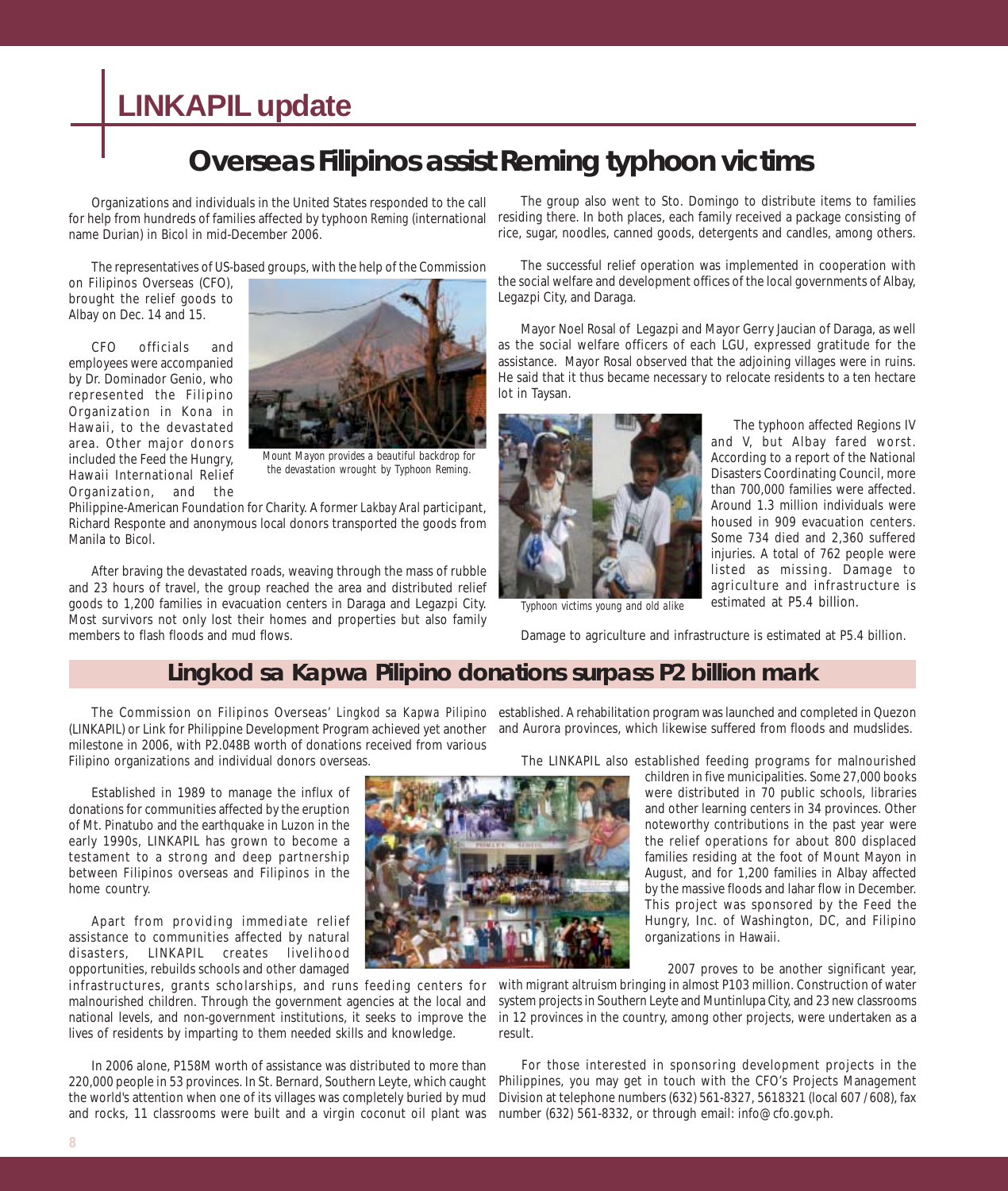## **LINKAPIL update**

## **Overseas Filipinos assist Reming typhoon victims**

Organizations and individuals in the United States responded to the call for help from hundreds of families affected by typhoon *Reming* (international name Durian) in Bicol in mid-December 2006.

The representatives of US-based groups, with the help of the Commission

on Filipinos Overseas (CFO), brought the relief goods to Albay on Dec. 14 and 15.

CFO officials and employees were accompanied by Dr. Dominador Genio, who represented the Filipino Organization in Kona in Hawaii, to the devastated area. Other major donors included the Feed the Hungry, Hawaii International Relief Organization, and the



*Mount Mayon provides a beautiful backdrop for the devastation wrought by Typhoon Reming.*

Philippine-American Foundation for Charity. A former *Lakbay Aral* participant, Richard Responte and anonymous local donors transported the goods from Manila to Bicol.

After braving the devastated roads, weaving through the mass of rubble and 23 hours of travel, the group reached the area and distributed relief goods to 1,200 families in evacuation centers in Daraga and Legazpi City. Most survivors not only lost their homes and properties but also family members to flash floods and mud flows.

The group also went to Sto. Domingo to distribute items to families residing there. In both places, each family received a package consisting of rice, sugar, noodles, canned goods, detergents and candles, among others.

The successful relief operation was implemented in cooperation with the social welfare and development offices of the local governments of Albay, Legazpi City, and Daraga.

Mayor Noel Rosal of Legazpi and Mayor Gerry Jaucian of Daraga, as well as the social welfare officers of each LGU, expressed gratitude for the assistance. Mayor Rosal observed that the adjoining villages were in ruins. He said that it thus became necessary to relocate residents to a ten hectare lot in Taysan.



The typhoon affected Regions IV and V, but Albay fared worst. According to a report of the National Disasters Coordinating Council, more than 700,000 families were affected. Around 1.3 million individuals were housed in 909 evacuation centers. Some 734 died and 2,360 suffered injuries. A total of 762 people were listed as missing. Damage to agriculture and infrastructure is estimated at P5.4 billion.

*Typhoon victims young and old alike*

Damage to agriculture and infrastructure is estimated at P5.4 billion.

### *Lingkod sa Kapwa Pilipino* **donations surpass P2 billion mark**

(LINKAPIL) or Link for Philippine Development Program achieved yet another milestone in 2006, with P2.048B worth of donations received from various Filipino organizations and individual donors overseas.

Established in 1989 to manage the influx of donations for communities affected by the eruption of Mt. Pinatubo and the earthquake in Luzon in the early 1990s, LINKAPIL has grown to become a testament to a strong and deep partnership between Filipinos overseas and Filipinos in the home country.

Apart from providing immediate relief assistance to communities affected by natural disasters, LINKAPIL creates livelihood opportunities, rebuilds schools and other damaged

infrastructures, grants scholarships, and runs feeding centers for malnourished children. Through the government agencies at the local and national levels, and non-government institutions, it seeks to improve the lives of residents by imparting to them needed skills and knowledge.

In 2006 alone, P158M worth of assistance was distributed to more than 220,000 people in 53 provinces. In St. Bernard, Southern Leyte, which caught the world's attention when one of its villages was completely buried by mud and rocks, 11 classrooms were built and a virgin coconut oil plant was



The Commission on Filipinos Overseas' *Lingkod sa Kapwa Pilipino* established. A rehabilitation program was launched and completed in Quezon and Aurora provinces, which likewise suffered from floods and mudslides.

The LINKAPIL also established feeding programs for malnourished

children in five municipalities. Some 27,000 books were distributed in 70 public schools, libraries and other learning centers in 34 provinces. Other noteworthy contributions in the past year were the relief operations for about 800 displaced families residing at the foot of Mount Mayon in August, and for 1,200 families in Albay affected by the massive floods and lahar flow in December. This project was sponsored by the Feed the Hungry, Inc. of Washington, DC, and Filipino organizations in Hawaii.

2007 proves to be another significant year,

with migrant altruism bringing in almost P103 million. Construction of water system projects in Southern Leyte and Muntinlupa City, and 23 new classrooms in 12 provinces in the country, among other projects, were undertaken as a result.

For those interested in sponsoring development projects in the Philippines, you may get in touch with the CFO's Projects Management Division at telephone numbers (632) 561-8327, 5618321 (local 607 / 608), fax number (632) 561-8332, or through email: info@cfo.gov.ph.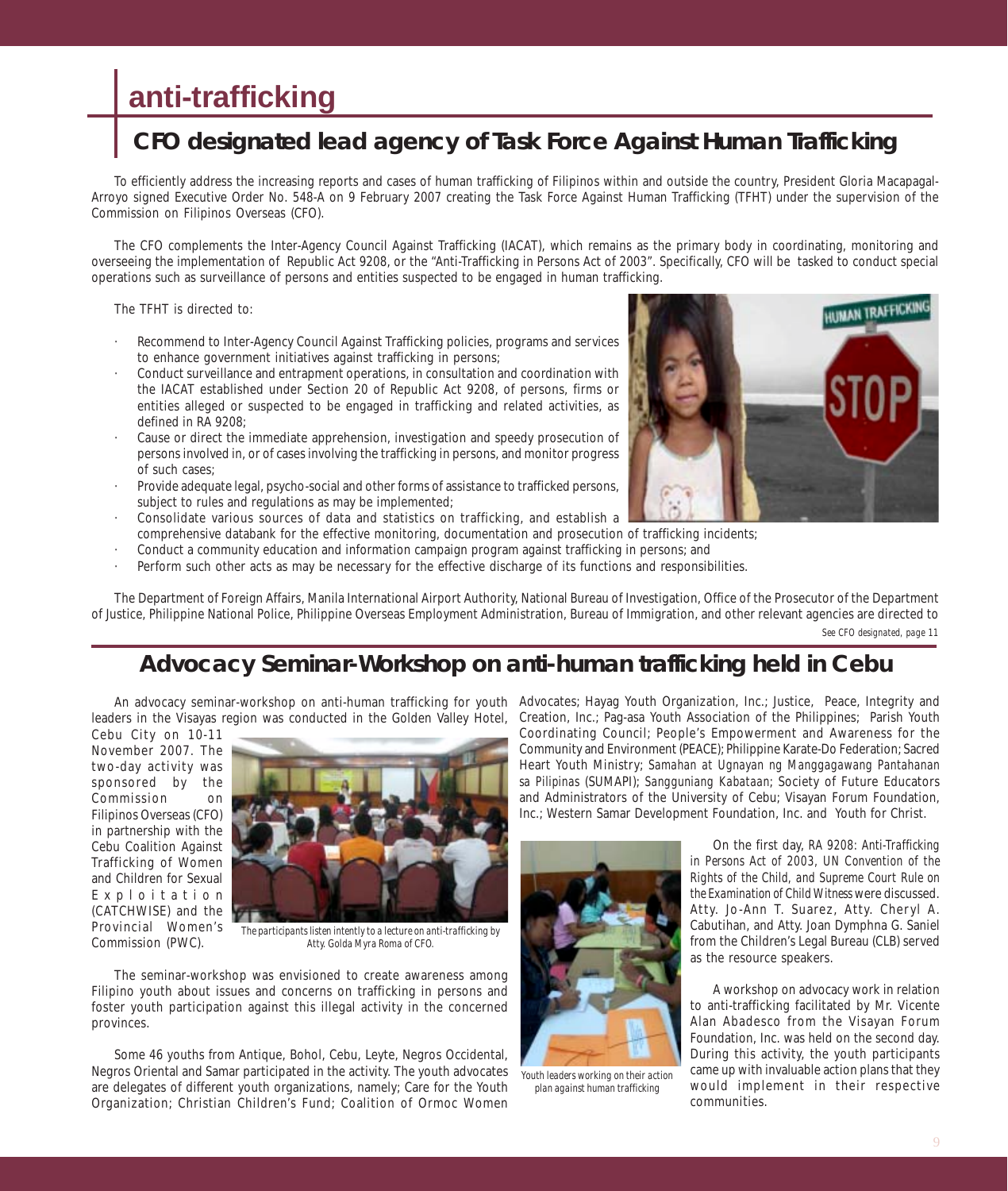## **anti-trafficking**

## **CFO designated lead agency of Task Force Against Human Trafficking**

To efficiently address the increasing reports and cases of human trafficking of Filipinos within and outside the country, President Gloria Macapagal-Arroyo signed Executive Order No. 548-A on 9 February 2007 creating the Task Force Against Human Trafficking (TFHT) under the supervision of the Commission on Filipinos Overseas (CFO).

The CFO complements the Inter-Agency Council Against Trafficking (IACAT), which remains as the primary body in coordinating, monitoring and overseeing the implementation of Republic Act 9208, or the "Anti-Trafficking in Persons Act of 2003". Specifically, CFO will be tasked to conduct special operations such as surveillance of persons and entities suspected to be engaged in human trafficking.

The TFHT is directed to:

- Recommend to Inter-Agency Council Against Trafficking policies, programs and services to enhance government initiatives against trafficking in persons;
- · Conduct surveillance and entrapment operations, in consultation and coordination with the IACAT established under Section 20 of Republic Act 9208, of persons, firms or entities alleged or suspected to be engaged in trafficking and related activities, as defined in RA 9208;
- · Cause or direct the immediate apprehension, investigation and speedy prosecution of persons involved in, or of cases involving the trafficking in persons, and monitor progress of such cases;
- Provide adequate legal, psycho-social and other forms of assistance to trafficked persons, subject to rules and regulations as may be implemented;
- · Consolidate various sources of data and statistics on trafficking, and establish a comprehensive databank for the effective monitoring, documentation and prosecution of trafficking incidents;
- · Conduct a community education and information campaign program against trafficking in persons; and
- Perform such other acts as may be necessary for the effective discharge of its functions and responsibilities.

The Department of Foreign Affairs, Manila International Airport Authority, National Bureau of Investigation, Office of the Prosecutor of the Department of Justice, Philippine National Police, Philippine Overseas Employment Administration, Bureau of Immigration, and other relevant agencies are directed to *See CFO designated, page 11*

### **Advocacy Seminar-Workshop on anti-human trafficking held in Cebu**

leaders in the Visayas region was conducted in the Golden Valley Hotel,

Cebu City on 10-11 November 2007. The two-day activity was sponsored by the Commission on Filipinos Overseas (CFO) in partnership with the Cebu Coalition Against Trafficking of Women and Children for Sexual Exploitation (CATCHWISE) and the Provincial Women's Commission (PWC).



*The participants listen intently to a lecture on anti-trafficking by Atty. Golda Myra Roma of CFO.*

The seminar-workshop was envisioned to create awareness among Filipino youth about issues and concerns on trafficking in persons and foster youth participation against this illegal activity in the concerned provinces.

Some 46 youths from Antique, Bohol, Cebu, Leyte, Negros Occidental, Negros Oriental and Samar participated in the activity. The youth advocates are delegates of different youth organizations, namely; Care for the Youth Organization; Christian Children's Fund; Coalition of Ormoc Women

An advocacy seminar-workshop on anti-human trafficking for youth Advocates; Hayag Youth Organization, Inc.; Justice, Peace, Integrity and Creation, Inc.; Pag-asa Youth Association of the Philippines; Parish Youth Coordinating Council; People's Empowerment and Awareness for the Community and Environment (PEACE); Philippine Karate-Do Federation; Sacred Heart Youth Ministry; *Samahan at Ugnayan ng Manggagawang Pantahanan sa Pilipinas* (SUMAPI); *Sangguniang Kabataan*; Society of Future Educators and Administrators of the University of Cebu; Visayan Forum Foundation, Inc.; Western Samar Development Foundation, Inc. and Youth for Christ.



*Youth leaders working on their action plan against human trafficking*

On the first day, *RA 9208: Anti-Trafficking in Persons Act of 2003, UN Convention of the Rights of the Child, and Supreme Court Rule on the Examination of Child Witness* were discussed. Atty. Jo-Ann T. Suarez, Atty. Cheryl A. Cabutihan, and Atty. Joan Dymphna G. Saniel from the Children's Legal Bureau (CLB) served as the resource speakers.

A workshop on advocacy work in relation to anti-trafficking facilitated by Mr. Vicente Alan Abadesco from the Visayan Forum Foundation, Inc. was held on the second day. During this activity, the youth participants came up with invaluable action plans that they would implement in their respective communities.

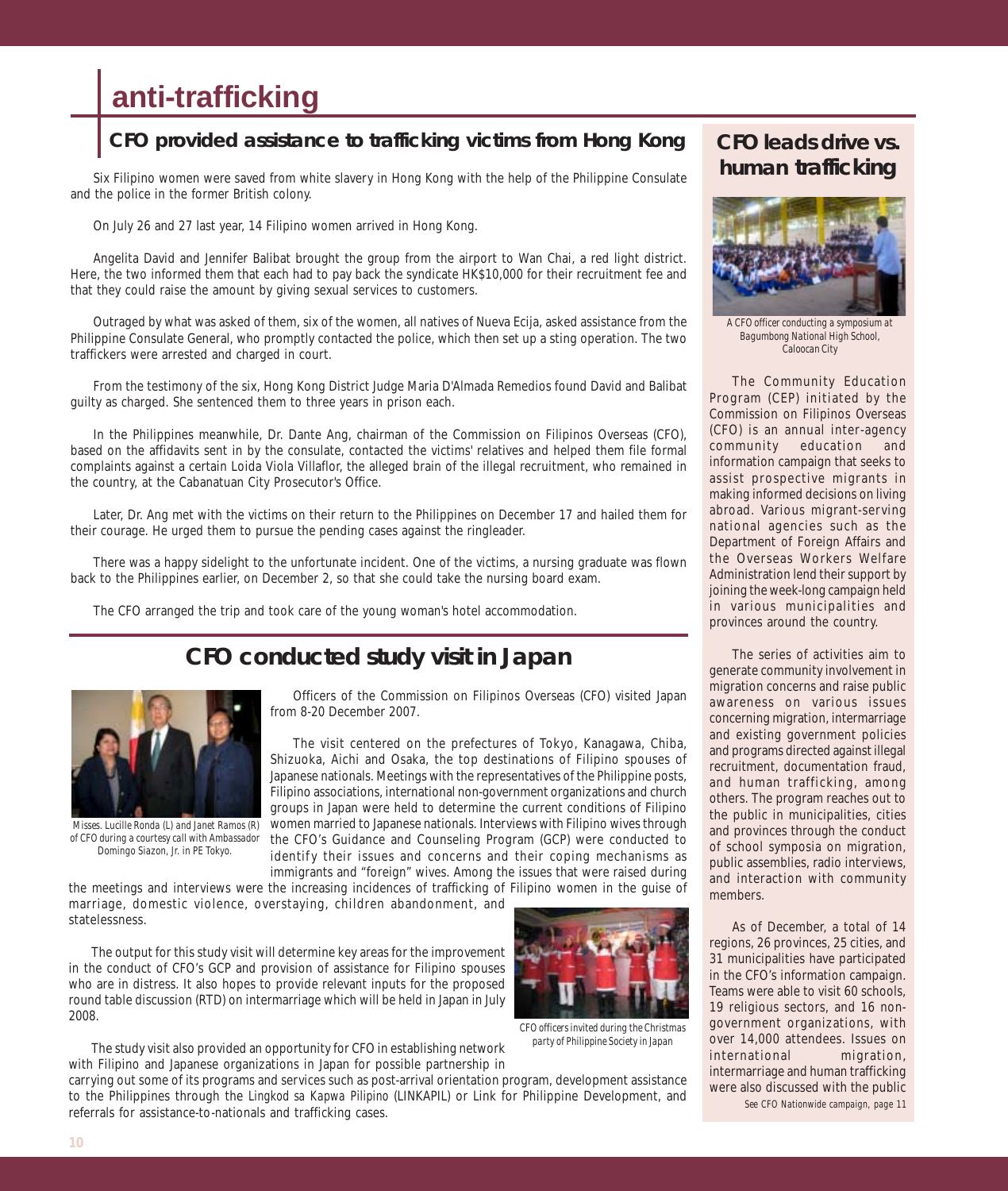## **anti-trafficking**

### **CFO provided assistance to trafficking victims from Hong Kong**

Six Filipino women were saved from white slavery in Hong Kong with the help of the Philippine Consulate and the police in the former British colony.

On July 26 and 27 last year, 14 Filipino women arrived in Hong Kong.

Angelita David and Jennifer Balibat brought the group from the airport to Wan Chai, a red light district. Here, the two informed them that each had to pay back the syndicate HK\$10,000 for their recruitment fee and that they could raise the amount by giving sexual services to customers.

Outraged by what was asked of them, six of the women, all natives of Nueva Ecija, asked assistance from the Philippine Consulate General, who promptly contacted the police, which then set up a sting operation. The two traffickers were arrested and charged in court.

From the testimony of the six, Hong Kong District Judge Maria D'Almada Remedios found David and Balibat guilty as charged. She sentenced them to three years in prison each.

In the Philippines meanwhile, Dr. Dante Ang, chairman of the Commission on Filipinos Overseas (CFO), based on the affidavits sent in by the consulate, contacted the victims' relatives and helped them file formal complaints against a certain Loida Viola Villaflor, the alleged brain of the illegal recruitment, who remained in the country, at the Cabanatuan City Prosecutor's Office.

Later, Dr. Ang met with the victims on their return to the Philippines on December 17 and hailed them for their courage. He urged them to pursue the pending cases against the ringleader.

There was a happy sidelight to the unfortunate incident. One of the victims, a nursing graduate was flown back to the Philippines earlier, on December 2, so that she could take the nursing board exam.

The CFO arranged the trip and took care of the young woman's hotel accommodation.

## **CFO conducted study visit in Japan**



 *Misses. Lucille Ronda (L) and Janet Ramos (R) of CFO during a courtesy call with Ambassador Domingo Siazon, Jr. in PE Tokyo.*

Officers of the Commission on Filipinos Overseas (CFO) visited Japan from 8-20 December 2007.

The visit centered on the prefectures of Tokyo, Kanagawa, Chiba, Shizuoka, Aichi and Osaka, the top destinations of Filipino spouses of Japanese nationals. Meetings with the representatives of the Philippine posts, Filipino associations, international non-government organizations and church groups in Japan were held to determine the current conditions of Filipino women married to Japanese nationals. Interviews with Filipino wives through the CFO's Guidance and Counseling Program (GCP) were conducted to identify their issues and concerns and their coping mechanisms as immigrants and "foreign" wives. Among the issues that were raised during

the meetings and interviews were the increasing incidences of trafficking of Filipino women in the guise of marriage, domestic violence, overstaying, children abandonment, and statelessness.

The output for this study visit will determine key areas for the improvement in the conduct of CFO's GCP and provision of assistance for Filipino spouses who are in distress. It also hopes to provide relevant inputs for the proposed round table discussion (RTD) on intermarriage which will be held in Japan in July 2008.



*CFO officers invited during the Christmas party of Philippine Society in Japan*

The study visit also provided an opportunity for CFO in establishing network with Filipino and Japanese organizations in Japan for possible partnership in carrying out some of its programs and services such as post-arrival orientation program, development assistance

to the Philippines through the *Lingkod sa Kapwa Pilipino* (LINKAPIL) or Link for Philippine Development, and referrals for assistance-to-nationals and trafficking cases.

### **CFO leads drive vs. human trafficking**



*A CFO officer conducting a symposium at Bagumbong National High School, Caloocan City*

The Community Education Program (CEP) initiated by the Commission on Filipinos Overseas (CFO) is an annual inter-agency community education and information campaign that seeks to assist prospective migrants in making informed decisions on living abroad. Various migrant-serving national agencies such as the Department of Foreign Affairs and the Overseas Workers Welfare Administration lend their support by joining the week-long campaign held in various municipalities and provinces around the country.

The series of activities aim to generate community involvement in migration concerns and raise public awareness on various issues concerning migration, intermarriage and existing government policies and programs directed against illegal recruitment, documentation fraud, and human trafficking, among others. The program reaches out to the public in municipalities, cities and provinces through the conduct of school symposia on migration, public assemblies, radio interviews, and interaction with community members.

As of December, a total of 14 regions, 26 provinces, 25 cities, and 31 municipalities have participated in the CFO's information campaign. Teams were able to visit 60 schools, 19 religious sectors, and 16 nongovernment organizations, with over 14,000 attendees. Issues on international migration, intermarriage and human trafficking were also discussed with the public *See CFO Nationwide campaign, page 11*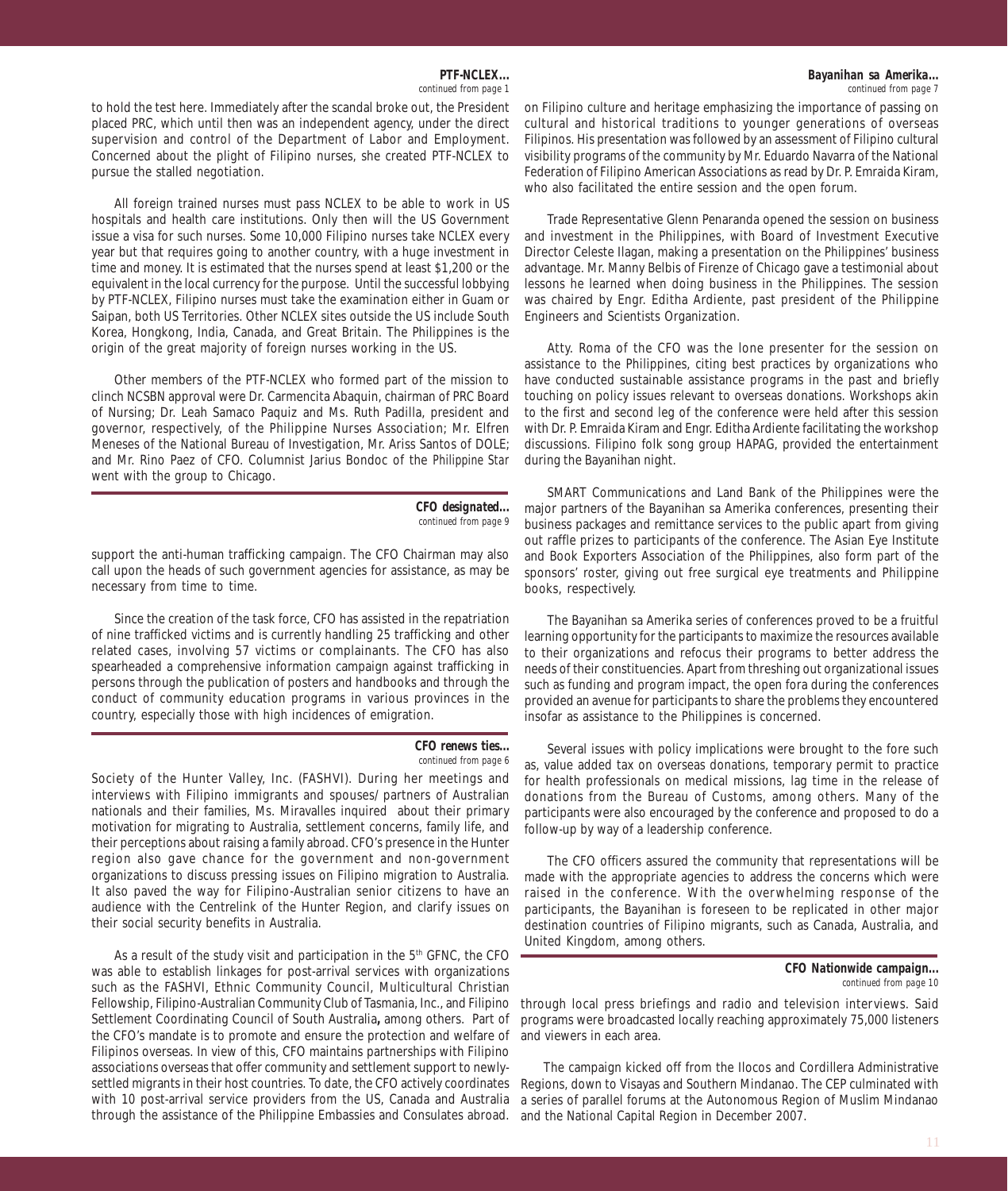*PTF-NCLEX... continued from page 1*

to hold the test here. Immediately after the scandal broke out, the President placed PRC, which until then was an independent agency, under the direct supervision and control of the Department of Labor and Employment. Concerned about the plight of Filipino nurses, she created PTF-NCLEX to pursue the stalled negotiation.

All foreign trained nurses must pass NCLEX to be able to work in US hospitals and health care institutions. Only then will the US Government issue a visa for such nurses. Some 10,000 Filipino nurses take NCLEX every year but that requires going to another country, with a huge investment in time and money. It is estimated that the nurses spend at least \$1,200 or the equivalent in the local currency for the purpose. Until the successful lobbying by PTF-NCLEX, Filipino nurses must take the examination either in Guam or Saipan, both US Territories. Other NCLEX sites outside the US include South Korea, Hongkong, India, Canada, and Great Britain. The Philippines is the origin of the great majority of foreign nurses working in the US.

Other members of the PTF-NCLEX who formed part of the mission to clinch NCSBN approval were Dr. Carmencita Abaquin, chairman of PRC Board of Nursing; Dr. Leah Samaco Paquiz and Ms. Ruth Padilla, president and governor, respectively, of the Philippine Nurses Association; Mr. Elfren Meneses of the National Bureau of Investigation, Mr. Ariss Santos of DOLE; and Mr. Rino Paez of CFO. Columnist Jarius Bondoc of the *Philippine Star* went with the group to Chicago.

> *CFO designated... continued from page 9*

support the anti-human trafficking campaign. The CFO Chairman may also call upon the heads of such government agencies for assistance, as may be necessary from time to time.

Since the creation of the task force, CFO has assisted in the repatriation of nine trafficked victims and is currently handling 25 trafficking and other related cases, involving 57 victims or complainants. The CFO has also spearheaded a comprehensive information campaign against trafficking in persons through the publication of posters and handbooks and through the conduct of community education programs in various provinces in the country, especially those with high incidences of emigration.

#### *CFO renews ties... continued from page 6*

Society of the Hunter Valley, Inc. (FASHVI). During her meetings and interviews with Filipino immigrants and spouses/ partners of Australian nationals and their families, Ms. Miravalles inquired about their primary motivation for migrating to Australia, settlement concerns, family life, and their perceptions about raising a family abroad. CFO's presence in the Hunter region also gave chance for the government and non-government organizations to discuss pressing issues on Filipino migration to Australia. It also paved the way for Filipino-Australian senior citizens to have an audience with the Centrelink of the Hunter Region, and clarify issues on their social security benefits in Australia.

As a result of the study visit and participation in the  $5<sup>th</sup>$  GFNC, the CFO was able to establish linkages for post-arrival services with organizations such as the FASHVI, Ethnic Community Council, Multicultural Christian Fellowship, Filipino-Australian Community Club of Tasmania, Inc., and Filipino Settlement Coordinating Council of South Australia**,** among others. Part of the CFO's mandate is to promote and ensure the protection and welfare of Filipinos overseas. In view of this, CFO maintains partnerships with Filipino associations overseas that offer community and settlement support to newlysettled migrants in their host countries. To date, the CFO actively coordinates with 10 post-arrival service providers from the US, Canada and Australia through the assistance of the Philippine Embassies and Consulates abroad.

on Filipino culture and heritage emphasizing the importance of passing on cultural and historical traditions to younger generations of overseas Filipinos. His presentation was followed by an assessment of Filipino cultural visibility programs of the community by Mr. Eduardo Navarra of the National Federation of Filipino American Associations as read by Dr. P. Emraida Kiram, who also facilitated the entire session and the open forum.

Trade Representative Glenn Penaranda opened the session on business and investment in the Philippines, with Board of Investment Executive Director Celeste Ilagan, making a presentation on the Philippines' business advantage. Mr. Manny Belbis of Firenze of Chicago gave a testimonial about lessons he learned when doing business in the Philippines. The session was chaired by Engr. Editha Ardiente, past president of the Philippine Engineers and Scientists Organization.

Atty. Roma of the CFO was the lone presenter for the session on assistance to the Philippines, citing best practices by organizations who have conducted sustainable assistance programs in the past and briefly touching on policy issues relevant to overseas donations. Workshops akin to the first and second leg of the conference were held after this session with Dr. P. Emraida Kiram and Engr. Editha Ardiente facilitating the workshop discussions. Filipino folk song group HAPAG, provided the entertainment during the Bayanihan night.

SMART Communications and Land Bank of the Philippines were the major partners of the Bayanihan sa Amerika conferences, presenting their business packages and remittance services to the public apart from giving out raffle prizes to participants of the conference. The Asian Eye Institute and Book Exporters Association of the Philippines, also form part of the sponsors' roster, giving out free surgical eye treatments and Philippine books, respectively.

The Bayanihan sa Amerika series of conferences proved to be a fruitful learning opportunity for the participants to maximize the resources available to their organizations and refocus their programs to better address the needs of their constituencies. Apart from threshing out organizational issues such as funding and program impact, the open fora during the conferences provided an avenue for participants to share the problems they encountered insofar as assistance to the Philippines is concerned.

Several issues with policy implications were brought to the fore such as, value added tax on overseas donations, temporary permit to practice for health professionals on medical missions, lag time in the release of donations from the Bureau of Customs, among others. Many of the participants were also encouraged by the conference and proposed to do a follow-up by way of a leadership conference.

The CFO officers assured the community that representations will be made with the appropriate agencies to address the concerns which were raised in the conference. With the overwhelming response of the participants, the Bayanihan is foreseen to be replicated in other major destination countries of Filipino migrants, such as Canada, Australia, and United Kingdom, among others.

through local press briefings and radio and television interviews. Said programs were broadcasted locally reaching approximately 75,000 listeners and viewers in each area.

The campaign kicked off from the Ilocos and Cordillera Administrative Regions, down to Visayas and Southern Mindanao. The CEP culminated with a series of parallel forums at the Autonomous Region of Muslim Mindanao and the National Capital Region in December 2007.

*CFO Nationwide campaign... continued from page 10*